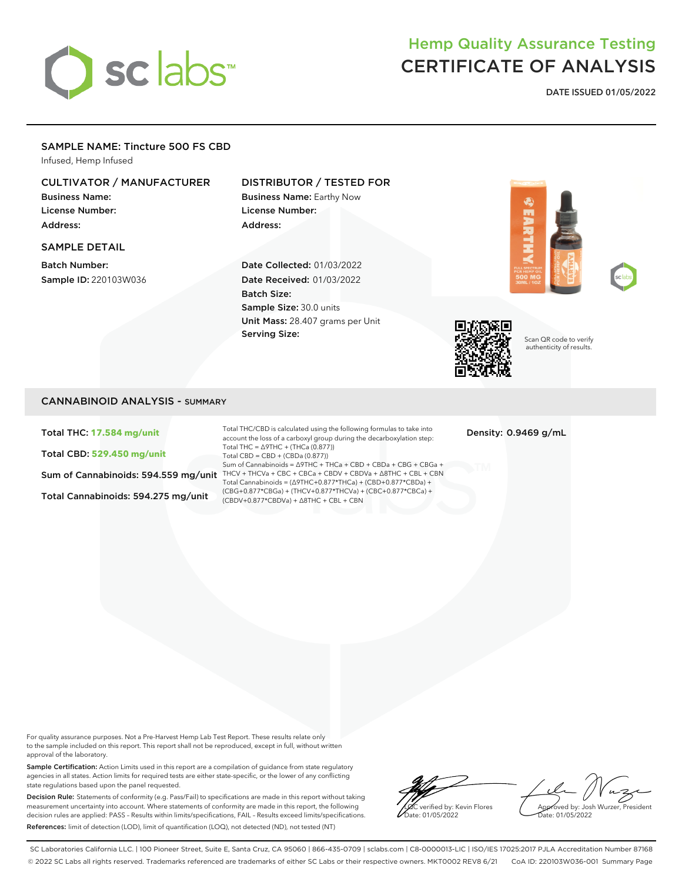# sclabs<sup>\*</sup>

## Hemp Quality Assurance Testing CERTIFICATE OF ANALYSIS

**DATE ISSUED 01/05/2022**

### SAMPLE NAME: Tincture 500 FS CBD

Infused, Hemp Infused

#### CULTIVATOR / MANUFACTURER

Business Name: License Number: Address:

#### SAMPLE DETAIL

Batch Number: Sample ID: 220103W036

#### DISTRIBUTOR / TESTED FOR

Business Name: Earthy Now License Number: Address:

Date Collected: 01/03/2022 Date Received: 01/03/2022 Batch Size: Sample Size: 30.0 units Unit Mass: 28.407 grams per Unit Serving Size:







Scan QR code to verify authenticity of results.

#### CANNABINOID ANALYSIS - SUMMARY

Total THC: **17.584 mg/unit**

Total CBD: **529.450 mg/unit**

Total Cannabinoids: 594.275 mg/unit

Sum of Cannabinoids: 594.559 mg/unit THCV + THCVa + CBC + CBCa + CBDV + CBDVa +  $\Delta$ 8THC + CBL + CBN Total THC/CBD is calculated using the following formulas to take into account the loss of a carboxyl group during the decarboxylation step: Total THC = ∆9THC + (THCa (0.877)) Total CBD = CBD + (CBDa (0.877)) Sum of Cannabinoids = ∆9THC + THCa + CBD + CBDa + CBG + CBGa + Total Cannabinoids = (∆9THC+0.877\*THCa) + (CBD+0.877\*CBDa) + (CBG+0.877\*CBGa) + (THCV+0.877\*THCVa) + (CBC+0.877\*CBCa) + (CBDV+0.877\*CBDVa) + ∆8THC + CBL + CBN

Density: 0.9469 g/mL

For quality assurance purposes. Not a Pre-Harvest Hemp Lab Test Report. These results relate only to the sample included on this report. This report shall not be reproduced, except in full, without written approval of the laboratory.

Sample Certification: Action Limits used in this report are a compilation of guidance from state regulatory agencies in all states. Action limits for required tests are either state-specific, or the lower of any conflicting state regulations based upon the panel requested.

Decision Rule: Statements of conformity (e.g. Pass/Fail) to specifications are made in this report without taking measurement uncertainty into account. Where statements of conformity are made in this report, the following decision rules are applied: PASS – Results within limits/specifications, FAIL – Results exceed limits/specifications. References: limit of detection (LOD), limit of quantification (LOQ), not detected (ND), not tested (NT)

verified by: Kevin Flores ate: 01/05/2022

Approved by: Josh Wurzer, President Date: 01/05/2022

SC Laboratories California LLC. | 100 Pioneer Street, Suite E, Santa Cruz, CA 95060 | 866-435-0709 | sclabs.com | C8-0000013-LIC | ISO/IES 17025:2017 PJLA Accreditation Number 87168 © 2022 SC Labs all rights reserved. Trademarks referenced are trademarks of either SC Labs or their respective owners. MKT0002 REV8 6/21 CoA ID: 220103W036-001 Summary Page